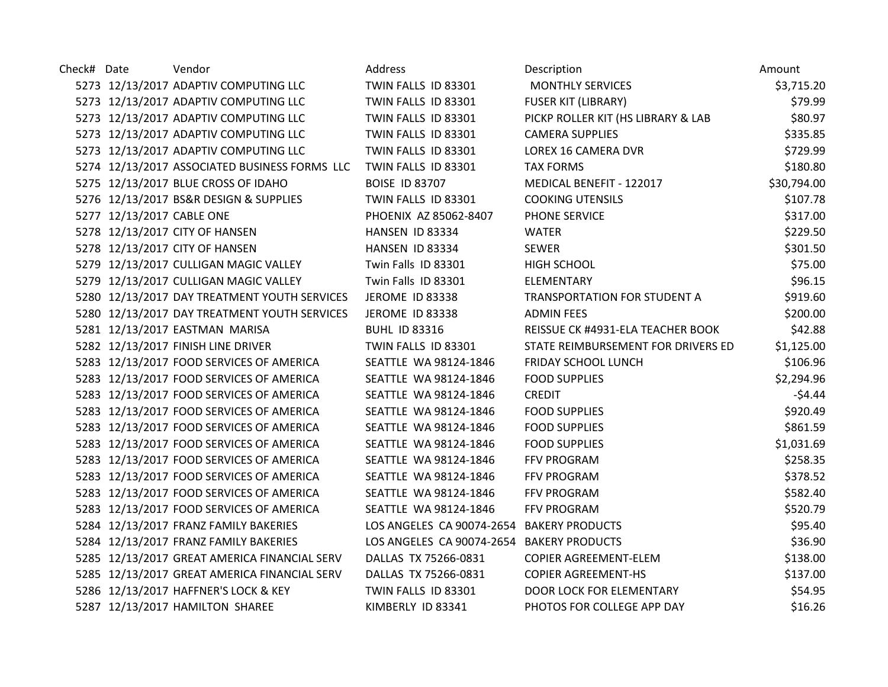| Check# Date |                           | Vendor                                        | Address                                   | Description                        | Amount      |
|-------------|---------------------------|-----------------------------------------------|-------------------------------------------|------------------------------------|-------------|
|             |                           | 5273 12/13/2017 ADAPTIV COMPUTING LLC         | TWIN FALLS ID 83301                       | <b>MONTHLY SERVICES</b>            | \$3,715.20  |
|             |                           | 5273 12/13/2017 ADAPTIV COMPUTING LLC         | TWIN FALLS ID 83301                       | <b>FUSER KIT (LIBRARY)</b>         | \$79.99     |
|             |                           | 5273 12/13/2017 ADAPTIV COMPUTING LLC         | TWIN FALLS ID 83301                       | PICKP ROLLER KIT (HS LIBRARY & LAB | \$80.97     |
|             |                           | 5273 12/13/2017 ADAPTIV COMPUTING LLC         | TWIN FALLS ID 83301                       | <b>CAMERA SUPPLIES</b>             | \$335.85    |
|             |                           | 5273 12/13/2017 ADAPTIV COMPUTING LLC         | TWIN FALLS ID 83301                       | LOREX 16 CAMERA DVR                | \$729.99    |
|             |                           | 5274 12/13/2017 ASSOCIATED BUSINESS FORMS LLC | TWIN FALLS ID 83301                       | <b>TAX FORMS</b>                   | \$180.80    |
|             |                           | 5275 12/13/2017 BLUE CROSS OF IDAHO           | <b>BOISE ID 83707</b>                     | MEDICAL BENEFIT - 122017           | \$30,794.00 |
|             |                           | 5276 12/13/2017 BS&R DESIGN & SUPPLIES        | TWIN FALLS ID 83301                       | <b>COOKING UTENSILS</b>            | \$107.78    |
|             | 5277 12/13/2017 CABLE ONE |                                               | PHOENIX AZ 85062-8407                     | PHONE SERVICE                      | \$317.00    |
|             |                           | 5278 12/13/2017 CITY OF HANSEN                | HANSEN ID 83334                           | <b>WATER</b>                       | \$229.50    |
|             |                           | 5278 12/13/2017 CITY OF HANSEN                | HANSEN ID 83334                           | <b>SEWER</b>                       | \$301.50    |
|             |                           | 5279 12/13/2017 CULLIGAN MAGIC VALLEY         | Twin Falls ID 83301                       | <b>HIGH SCHOOL</b>                 | \$75.00     |
|             |                           | 5279 12/13/2017 CULLIGAN MAGIC VALLEY         | Twin Falls ID 83301                       | ELEMENTARY                         | \$96.15     |
|             |                           | 5280 12/13/2017 DAY TREATMENT YOUTH SERVICES  | JEROME ID 83338                           | TRANSPORTATION FOR STUDENT A       | \$919.60    |
|             |                           | 5280 12/13/2017 DAY TREATMENT YOUTH SERVICES  | JEROME ID 83338                           | <b>ADMIN FEES</b>                  | \$200.00    |
|             |                           | 5281 12/13/2017 EASTMAN MARISA                | <b>BUHL ID 83316</b>                      | REISSUE CK #4931-ELA TEACHER BOOK  | \$42.88     |
|             |                           | 5282 12/13/2017 FINISH LINE DRIVER            | TWIN FALLS ID 83301                       | STATE REIMBURSEMENT FOR DRIVERS ED | \$1,125.00  |
|             |                           | 5283 12/13/2017 FOOD SERVICES OF AMERICA      | SEATTLE WA 98124-1846                     | FRIDAY SCHOOL LUNCH                | \$106.96    |
|             |                           | 5283 12/13/2017 FOOD SERVICES OF AMERICA      | SEATTLE WA 98124-1846                     | <b>FOOD SUPPLIES</b>               | \$2,294.96  |
|             |                           | 5283 12/13/2017 FOOD SERVICES OF AMERICA      | SEATTLE WA 98124-1846                     | <b>CREDIT</b>                      | $-54.44$    |
|             |                           | 5283 12/13/2017 FOOD SERVICES OF AMERICA      | SEATTLE WA 98124-1846                     | <b>FOOD SUPPLIES</b>               | \$920.49    |
|             |                           | 5283 12/13/2017 FOOD SERVICES OF AMERICA      | SEATTLE WA 98124-1846                     | <b>FOOD SUPPLIES</b>               | \$861.59    |
|             |                           | 5283 12/13/2017 FOOD SERVICES OF AMERICA      | SEATTLE WA 98124-1846                     | <b>FOOD SUPPLIES</b>               | \$1,031.69  |
|             |                           | 5283 12/13/2017 FOOD SERVICES OF AMERICA      | SEATTLE WA 98124-1846                     | FFV PROGRAM                        | \$258.35    |
|             |                           | 5283 12/13/2017 FOOD SERVICES OF AMERICA      | SEATTLE WA 98124-1846                     | FFV PROGRAM                        | \$378.52    |
|             |                           | 5283 12/13/2017 FOOD SERVICES OF AMERICA      | SEATTLE WA 98124-1846                     | FFV PROGRAM                        | \$582.40    |
|             |                           | 5283 12/13/2017 FOOD SERVICES OF AMERICA      | SEATTLE WA 98124-1846                     | FFV PROGRAM                        | \$520.79    |
|             |                           | 5284 12/13/2017 FRANZ FAMILY BAKERIES         | LOS ANGELES CA 90074-2654 BAKERY PRODUCTS |                                    | \$95.40     |
|             |                           | 5284 12/13/2017 FRANZ FAMILY BAKERIES         | LOS ANGELES CA 90074-2654 BAKERY PRODUCTS |                                    | \$36.90     |
|             |                           | 5285 12/13/2017 GREAT AMERICA FINANCIAL SERV  | DALLAS TX 75266-0831                      | COPIER AGREEMENT-ELEM              | \$138.00    |
|             |                           | 5285 12/13/2017 GREAT AMERICA FINANCIAL SERV  | DALLAS TX 75266-0831                      | <b>COPIER AGREEMENT-HS</b>         | \$137.00    |
|             |                           | 5286 12/13/2017 HAFFNER'S LOCK & KEY          | TWIN FALLS ID 83301                       | <b>DOOR LOCK FOR ELEMENTARY</b>    | \$54.95     |
|             |                           | 5287 12/13/2017 HAMILTON SHAREE               | KIMBERLY ID 83341                         | PHOTOS FOR COLLEGE APP DAY         | \$16.26     |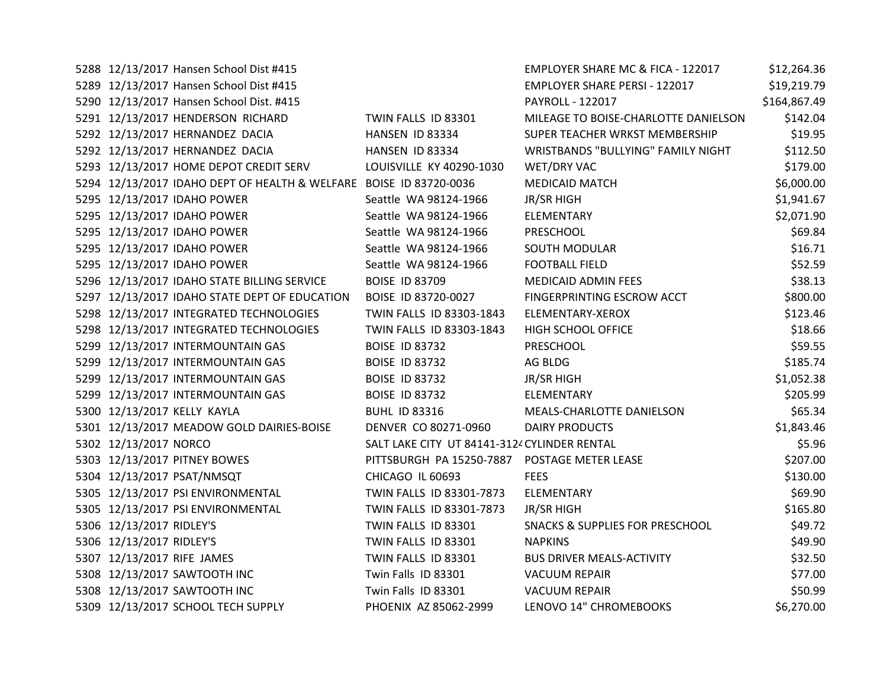| 5288 12/13/2017 Hansen School Dist #415                            |                                              | EMPLOYER SHARE MC & FICA - 122017          | \$12,264.36  |
|--------------------------------------------------------------------|----------------------------------------------|--------------------------------------------|--------------|
| 5289 12/13/2017 Hansen School Dist #415                            |                                              | <b>EMPLOYER SHARE PERSI - 122017</b>       | \$19,219.79  |
| 5290 12/13/2017 Hansen School Dist. #415                           |                                              | PAYROLL - 122017                           | \$164,867.49 |
| 5291 12/13/2017 HENDERSON RICHARD                                  | TWIN FALLS ID 83301                          | MILEAGE TO BOISE-CHARLOTTE DANIELSON       | \$142.04     |
| 5292 12/13/2017 HERNANDEZ DACIA                                    | HANSEN ID 83334                              | SUPER TEACHER WRKST MEMBERSHIP             | \$19.95      |
| 5292 12/13/2017 HERNANDEZ DACIA                                    | HANSEN ID 83334                              | WRISTBANDS "BULLYING" FAMILY NIGHT         | \$112.50     |
| 5293 12/13/2017 HOME DEPOT CREDIT SERV                             | LOUISVILLE KY 40290-1030                     | WET/DRY VAC                                | \$179.00     |
| 5294 12/13/2017 IDAHO DEPT OF HEALTH & WELFARE BOISE ID 83720-0036 |                                              | <b>MEDICAID MATCH</b>                      | \$6,000.00   |
| 5295 12/13/2017 IDAHO POWER                                        | Seattle WA 98124-1966                        | JR/SR HIGH                                 | \$1,941.67   |
| 5295 12/13/2017 IDAHO POWER                                        | Seattle WA 98124-1966                        | ELEMENTARY                                 | \$2,071.90   |
| 5295 12/13/2017 IDAHO POWER                                        | Seattle WA 98124-1966                        | PRESCHOOL                                  | \$69.84      |
| 5295 12/13/2017 IDAHO POWER                                        | Seattle WA 98124-1966                        | SOUTH MODULAR                              | \$16.71      |
| 5295 12/13/2017 IDAHO POWER                                        | Seattle WA 98124-1966                        | <b>FOOTBALL FIELD</b>                      | \$52.59      |
| 5296 12/13/2017 IDAHO STATE BILLING SERVICE                        | <b>BOISE ID 83709</b>                        | <b>MEDICAID ADMIN FEES</b>                 | \$38.13      |
| 5297 12/13/2017 IDAHO STATE DEPT OF EDUCATION                      | BOISE ID 83720-0027                          | FINGERPRINTING ESCROW ACCT                 | \$800.00     |
| 5298 12/13/2017 INTEGRATED TECHNOLOGIES                            | TWIN FALLS ID 83303-1843                     | ELEMENTARY-XEROX                           | \$123.46     |
| 5298 12/13/2017 INTEGRATED TECHNOLOGIES                            | TWIN FALLS ID 83303-1843                     | HIGH SCHOOL OFFICE                         | \$18.66      |
| 5299 12/13/2017 INTERMOUNTAIN GAS                                  | <b>BOISE ID 83732</b>                        | PRESCHOOL                                  | \$59.55      |
| 5299 12/13/2017 INTERMOUNTAIN GAS                                  | <b>BOISE ID 83732</b>                        | AG BLDG                                    | \$185.74     |
| 5299 12/13/2017 INTERMOUNTAIN GAS                                  | <b>BOISE ID 83732</b>                        | JR/SR HIGH                                 | \$1,052.38   |
| 5299 12/13/2017 INTERMOUNTAIN GAS                                  | <b>BOISE ID 83732</b>                        | ELEMENTARY                                 | \$205.99     |
| 5300 12/13/2017 KELLY KAYLA                                        | <b>BUHL ID 83316</b>                         | MEALS-CHARLOTTE DANIELSON                  | \$65.34      |
| 5301 12/13/2017 MEADOW GOLD DAIRIES-BOISE                          | DENVER CO 80271-0960                         | <b>DAIRY PRODUCTS</b>                      | \$1,843.46   |
| 5302 12/13/2017 NORCO                                              | SALT LAKE CITY UT 84141-3124 CYLINDER RENTAL |                                            | \$5.96       |
| 5303 12/13/2017 PITNEY BOWES                                       | PITTSBURGH PA 15250-7887                     | POSTAGE METER LEASE                        | \$207.00     |
| 5304 12/13/2017 PSAT/NMSQT                                         | CHICAGO IL 60693                             | <b>FEES</b>                                | \$130.00     |
| 5305 12/13/2017 PSI ENVIRONMENTAL                                  | TWIN FALLS ID 83301-7873                     | ELEMENTARY                                 | \$69.90      |
| 5305 12/13/2017 PSI ENVIRONMENTAL                                  | TWIN FALLS ID 83301-7873                     | <b>JR/SR HIGH</b>                          | \$165.80     |
| 5306 12/13/2017 RIDLEY'S                                           | TWIN FALLS ID 83301                          | <b>SNACKS &amp; SUPPLIES FOR PRESCHOOL</b> | \$49.72      |
| 5306 12/13/2017 RIDLEY'S                                           | TWIN FALLS ID 83301                          | <b>NAPKINS</b>                             | \$49.90      |
| 5307 12/13/2017 RIFE JAMES                                         | TWIN FALLS ID 83301                          | <b>BUS DRIVER MEALS-ACTIVITY</b>           | \$32.50      |
| 5308 12/13/2017 SAWTOOTH INC                                       | Twin Falls ID 83301                          | <b>VACUUM REPAIR</b>                       | \$77.00      |
| 5308 12/13/2017 SAWTOOTH INC                                       | Twin Falls ID 83301                          | <b>VACUUM REPAIR</b>                       | \$50.99      |
| 5309 12/13/2017 SCHOOL TECH SUPPLY                                 | PHOENIX AZ 85062-2999                        | LENOVO 14" CHROMEBOOKS                     | \$6,270.00   |
|                                                                    |                                              |                                            |              |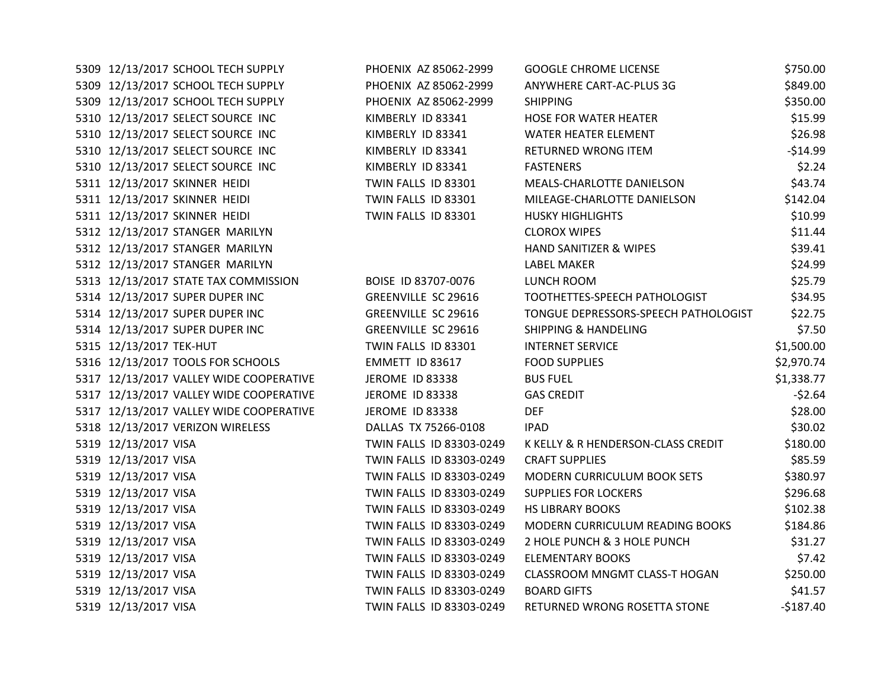| 5309 12/13/2017 SCHOOL TECH SUPPLY      | PHOENIX AZ 85062-2999      | <b>GOOGLE CHROME LICENSE</b>         | \$750.00   |
|-----------------------------------------|----------------------------|--------------------------------------|------------|
| 5309 12/13/2017 SCHOOL TECH SUPPLY      | PHOENIX AZ 85062-2999      | ANYWHERE CART-AC-PLUS 3G             | \$849.00   |
| 5309 12/13/2017 SCHOOL TECH SUPPLY      | PHOENIX AZ 85062-2999      | <b>SHIPPING</b>                      | \$350.00   |
| 5310 12/13/2017 SELECT SOURCE INC       | KIMBERLY ID 83341          | <b>HOSE FOR WATER HEATER</b>         | \$15.99    |
| 5310 12/13/2017 SELECT SOURCE INC       | KIMBERLY ID 83341          | <b>WATER HEATER ELEMENT</b>          | \$26.98    |
| 5310 12/13/2017 SELECT SOURCE INC       | KIMBERLY ID 83341          | RETURNED WRONG ITEM                  | $-$14.99$  |
| 5310 12/13/2017 SELECT SOURCE INC       | KIMBERLY ID 83341          | <b>FASTENERS</b>                     | \$2.24     |
| 5311 12/13/2017 SKINNER HEIDI           | TWIN FALLS ID 83301        | MEALS-CHARLOTTE DANIELSON            | \$43.74    |
| 5311 12/13/2017 SKINNER HEIDI           | TWIN FALLS ID 83301        | MILEAGE-CHARLOTTE DANIELSON          | \$142.04   |
| 5311 12/13/2017 SKINNER HEIDI           | TWIN FALLS ID 83301        | <b>HUSKY HIGHLIGHTS</b>              | \$10.99    |
| 5312 12/13/2017 STANGER MARILYN         |                            | <b>CLOROX WIPES</b>                  | \$11.44    |
| 5312 12/13/2017 STANGER MARILYN         |                            | HAND SANITIZER & WIPES               | \$39.41    |
| 5312 12/13/2017 STANGER MARILYN         |                            | <b>LABEL MAKER</b>                   | \$24.99    |
| 5313 12/13/2017 STATE TAX COMMISSION    | BOISE ID 83707-0076        | LUNCH ROOM                           | \$25.79    |
| 5314 12/13/2017 SUPER DUPER INC         | <b>GREENVILLE SC 29616</b> | TOOTHETTES-SPEECH PATHOLOGIST        | \$34.95    |
| 5314 12/13/2017 SUPER DUPER INC         | <b>GREENVILLE SC 29616</b> | TONGUE DEPRESSORS-SPEECH PATHOLOGIST | \$22.75    |
| 5314 12/13/2017 SUPER DUPER INC         | <b>GREENVILLE SC 29616</b> | <b>SHIPPING &amp; HANDELING</b>      | \$7.50     |
| 5315 12/13/2017 TEK-HUT                 | TWIN FALLS ID 83301        | <b>INTERNET SERVICE</b>              | \$1,500.00 |
| 5316 12/13/2017 TOOLS FOR SCHOOLS       | EMMETT ID 83617            | <b>FOOD SUPPLIES</b>                 | \$2,970.74 |
| 5317 12/13/2017 VALLEY WIDE COOPERATIVE | JEROME ID 83338            | <b>BUS FUEL</b>                      | \$1,338.77 |
| 5317 12/13/2017 VALLEY WIDE COOPERATIVE | JEROME ID 83338            | <b>GAS CREDIT</b>                    | $-52.64$   |
| 5317 12/13/2017 VALLEY WIDE COOPERATIVE | <b>JEROME ID 83338</b>     | <b>DEF</b>                           | \$28.00    |
| 5318 12/13/2017 VERIZON WIRELESS        | DALLAS TX 75266-0108       | <b>IPAD</b>                          | \$30.02    |
| 5319 12/13/2017 VISA                    | TWIN FALLS ID 83303-0249   | K KELLY & R HENDERSON-CLASS CREDIT   | \$180.00   |
| 5319 12/13/2017 VISA                    | TWIN FALLS ID 83303-0249   | <b>CRAFT SUPPLIES</b>                | \$85.59    |
| 5319 12/13/2017 VISA                    | TWIN FALLS ID 83303-0249   | MODERN CURRICULUM BOOK SETS          | \$380.97   |
| 5319 12/13/2017 VISA                    | TWIN FALLS ID 83303-0249   | <b>SUPPLIES FOR LOCKERS</b>          | \$296.68   |
| 5319 12/13/2017 VISA                    | TWIN FALLS ID 83303-0249   | <b>HS LIBRARY BOOKS</b>              | \$102.38   |
| 5319 12/13/2017 VISA                    | TWIN FALLS ID 83303-0249   | MODERN CURRICULUM READING BOOKS      | \$184.86   |
| 5319 12/13/2017 VISA                    | TWIN FALLS ID 83303-0249   | 2 HOLE PUNCH & 3 HOLE PUNCH          | \$31.27    |
| 5319 12/13/2017 VISA                    | TWIN FALLS ID 83303-0249   | <b>ELEMENTARY BOOKS</b>              | \$7.42     |
| 5319 12/13/2017 VISA                    | TWIN FALLS ID 83303-0249   | CLASSROOM MNGMT CLASS-T HOGAN        | \$250.00   |
| 5319 12/13/2017 VISA                    | TWIN FALLS ID 83303-0249   | <b>BOARD GIFTS</b>                   | \$41.57    |
| 5319 12/13/2017 VISA                    | TWIN FALLS ID 83303-0249   | RETURNED WRONG ROSETTA STONE         | $-$187.40$ |